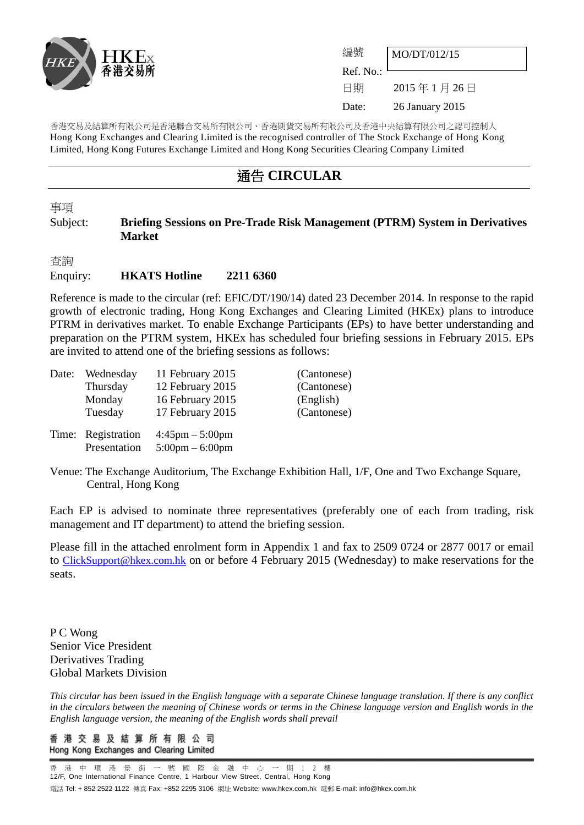

| 編號        | MO/DT/012/15    |  |
|-----------|-----------------|--|
| Ref. No.: |                 |  |
| 日期        | 2015年1月26日      |  |
| Date:     | 26 January 2015 |  |

香港交易及結算所有限公司是香港聯合交易所有限公司、香港期貨交易所有限公司及香港中央結算有限公司之認可控制人 Hong Kong Exchanges and Clearing Limited is the recognised controller of The Stock Exchange of Hong Kong Limited, Hong Kong Futures Exchange Limited and Hong Kong Securities Clearing Company Limited

## 通告 **CIRCULAR**

事項

## Subject: **Briefing Sessions on Pre-Trade Risk Management (PTRM) System in Derivatives Market**

查詢 Enquiry: **HKATS Hotline 2211 6360**

Reference is made to the circular (ref: EFIC/DT/190/14) dated 23 December 2014. In response to the rapid growth of electronic trading, Hong Kong Exchanges and Clearing Limited (HKEx) plans to introduce PTRM in derivatives market. To enable Exchange Participants (EPs) to have better understanding and preparation on the PTRM system, HKEx has scheduled four briefing sessions in February 2015. EPs are invited to attend one of the briefing sessions as follows:

| Date: | Wednesday                          | 11 February 2015                                                       | (Cantonese) |
|-------|------------------------------------|------------------------------------------------------------------------|-------------|
|       | Thursday                           | 12 February 2015                                                       | (Cantonese) |
|       | Monday                             | 16 February 2015                                                       | (English)   |
|       | Tuesday                            | 17 February 2015                                                       | (Cantonese) |
|       | Time: Registration<br>Presentation | $4:45 \text{pm} - 5:00 \text{pm}$<br>$5:00 \text{pm} - 6:00 \text{pm}$ |             |

Venue: The Exchange Auditorium, The Exchange Exhibition Hall, 1/F, One and Two Exchange Square, Central, Hong Kong

Each EP is advised to nominate three representatives (preferably one of each from trading, risk management and IT department) to attend the briefing session.

Please fill in the attached enrolment form in Appendix 1 and fax to 2509 0724 or 2877 0017 or email to [ClickSupport@hkex.com.hk](mailto:ClickSupport@hkex.com.hk) on or before 4 February 2015 (Wednesday) to make reservations for the seats.

P C Wong Senior Vice President Derivatives Trading Global Markets Division

*This circular has been issued in the English language with a separate Chinese language translation. If there is any conflict in the circulars between the meaning of Chinese words or terms in the Chinese language version and English words in the English language version, the meaning of the English words shall prevail*

香 港 交 易 及 結 算 所 有 限 公 司 Hong Kong Exchanges and Clearing Limited